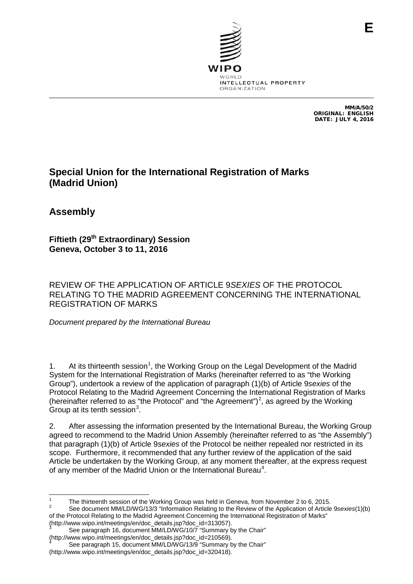

MM/A/50/2 ORIGINAL: ENGLISH DATE: JULY 4, 2016

## **Special Union for the International Registration of Marks (Madrid Union)**

**Assembly**

**Fiftieth (29th Extraordinary) Session Geneva, October 3 to 11, 2016**

REVIEW OF THE APPLICATION OF ARTICLE 9*SEXIES* OF THE PROTOCOL RELATING TO THE MADRID AGREEMENT CONCERNING THE INTERNATIONAL REGISTRATION OF MARKS

*Document prepared by the International Bureau*

[1](#page-0-0). At its thirteenth session<sup>1</sup>, the Working Group on the Legal Development of the Madrid System for the International Registration of Marks (hereinafter referred to as "the Working Group"), undertook a review of the application of paragraph (1)(b) of Article 9*sexies* of the Protocol Relating to the Madrid Agreement Concerning the International Registration of Marks (hereinafter referred to as "the Protocol" and "the Agreement")<sup>[2](#page-0-1)</sup>, as agreed by the Working Group at its tenth session $3$ .

2. After assessing the information presented by the International Bureau, the Working Group agreed to recommend to the Madrid Union Assembly (hereinafter referred to as "the Assembly") that paragraph (1)(b) of Article 9*sexies* of the Protocol be neither repealed nor restricted in its scope. Furthermore, it recommended that any further review of the application of the said Article be undertaken by the Working Group, at any moment thereafter, at the express request of any member of the Madrid Union or the International Bureau<sup>[4](#page-0-3)</sup>.

<span id="page-0-1"></span><span id="page-0-0"></span><sup>&</sup>lt;sup>1</sup> The thirteenth session of the Working Group was held in Geneva, from November 2 to 6, 2015.<br><sup>2</sup> See document MM/LD/WG/13/3 "Information Relating to the Review of the Application of Article 9*sexies*(1)(b) of the Protocol Relating to the Madrid Agreement Concerning the International Registration of Marks"<br>(http://www.wipo.int/meetings/en/doc\_details.jsp?doc\_id=313057).

<span id="page-0-2"></span><sup>&</sup>lt;sup>3</sup> See paragraph 16, document MM/LD/WG/10/7 "Summary by the Chair" (http://www.wipo.int/meetings/en/doc\_details.jsp?doc\_id=210569).

<span id="page-0-3"></span>See paragraph 15, document MM/LD/WG/13/9 "Summary by the Chair" (http://www.wipo.int/meetings/en/doc\_details.jsp?doc\_id=320418).